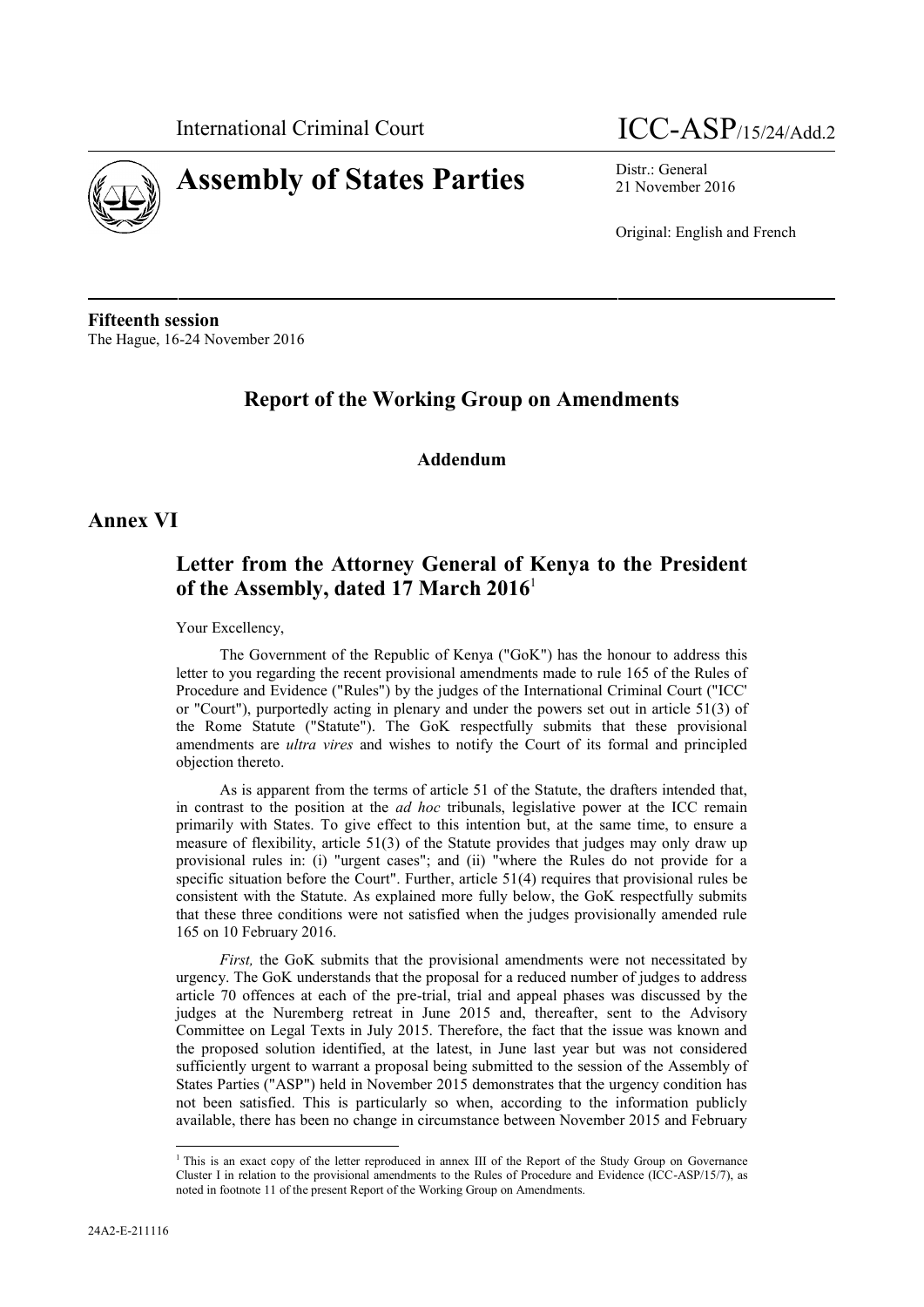

# **Assembly of States Parties** Distr.: General

## International Criminal Court  $ICC-ASP$ /15/24/Add.2

21 November 2016

Original: English and French

**Fifteenth session** The Hague, 16-24 November 2016

## **Report of the Working Group on Amendments**

#### **Addendum**

#### **Annex VI**

### **Letter from the Attorney General of Kenya to the President of the Assembly, dated 17 March 2016**<sup>1</sup>

Your Excellency,

The Government of the Republic of Kenya ("GoK") has the honour to address this letter to you regarding the recent provisional amendments made to rule 165 of the Rules of Procedure and Evidence ("Rules") by the judges of the International Criminal Court ("ICC' or "Court"), purportedly acting in plenary and under the powers set out in article 51(3) of the Rome Statute ("Statute"). The GoK respectfully submits that these provisional amendments are *ultra vires* and wishes to notify the Court of its formal and principled objection thereto.

As is apparent from the terms of article 51 of the Statute, the drafters intended that, in contrast to the position at the *ad hoc* tribunals, legislative power at the ICC remain primarily with States. To give effect to this intention but, at the same time, to ensure a measure of flexibility, article 51(3) of the Statute provides that judges may only draw up provisional rules in: (i) "urgent cases"; and (ii) "where the Rules do not provide for a specific situation before the Court". Further, article 51(4) requires that provisional rules be consistent with the Statute. As explained more fully below, the GoK respectfully submits that these three conditions were not satisfied when the judges provisionally amended rule 165 on 10 February 2016.

*First,* the GoK submits that the provisional amendments were not necessitated by urgency. The GoK understands that the proposal for a reduced number of judges to address article 70 offences at each of the pre-trial, trial and appeal phases was discussed by the judges at the Nuremberg retreat in June 2015 and, thereafter, sent to the Advisory Committee on Legal Texts in July 2015. Therefore, the fact that the issue was known and the proposed solution identified, at the latest, in June last year but was not considered sufficiently urgent to warrant a proposal being submitted to the session of the Assembly of States Parties ("ASP") held in November 2015 demonstrates that the urgency condition has not been satisfied. This is particularly so when, according to the information publicly available, there has been no change in circumstance between November 2015 and February

<sup>&</sup>lt;sup>1</sup> This is an exact copy of the letter reproduced in annex III of the Report of the Study Group on Governance Cluster I in relation to the provisional amendments to the Rules of Procedure and Evidence (ICC-ASP/15/7), as noted in footnote 11 of the present Report of the Working Group on Amendments.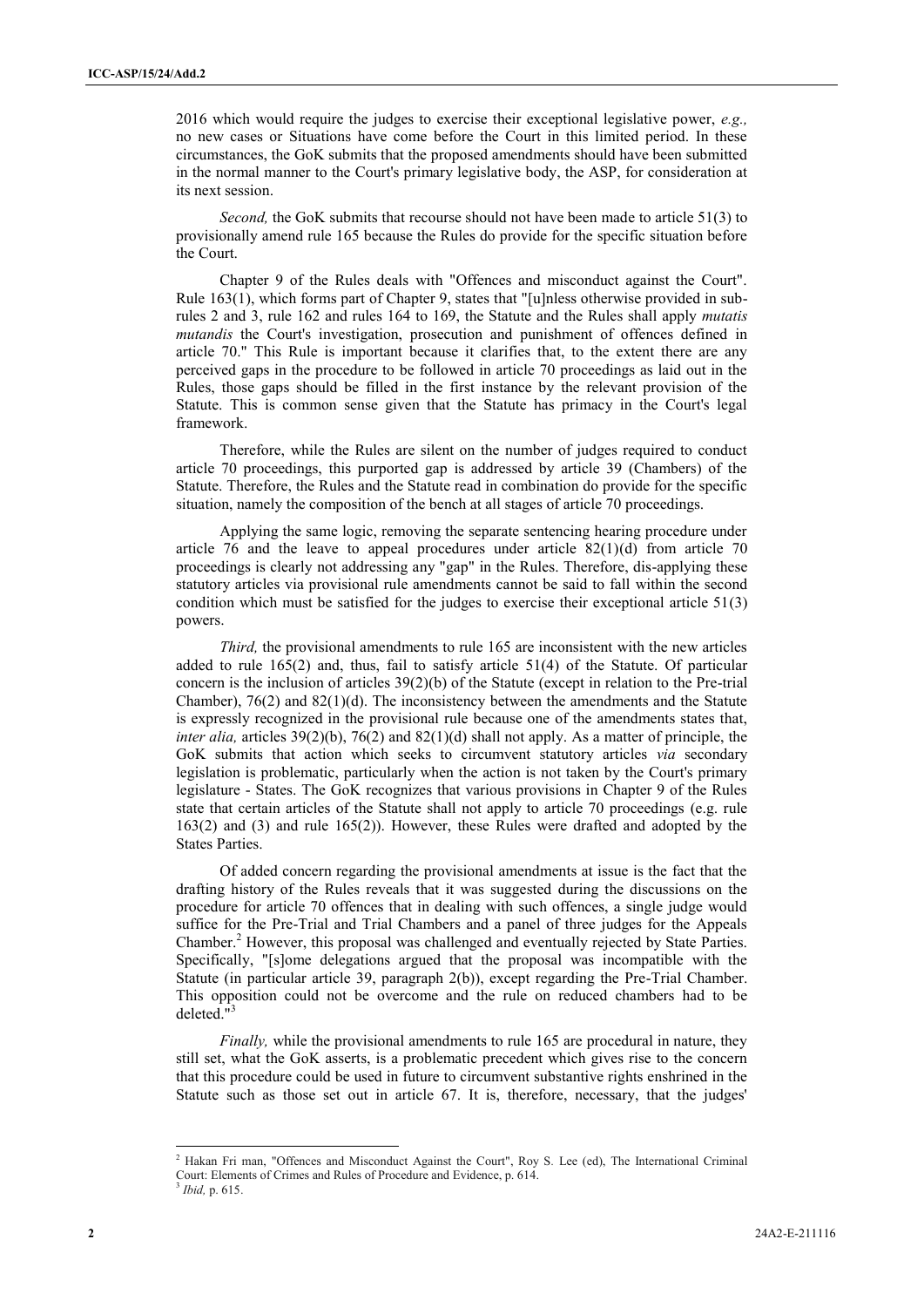2016 which would require the judges to exercise their exceptional legislative power, *e.g.,* no new cases or Situations have come before the Court in this limited period. In these circumstances, the GoK submits that the proposed amendments should have been submitted in the normal manner to the Court's primary legislative body, the ASP, for consideration at its next session.

*Second,* the GoK submits that recourse should not have been made to article 51(3) to provisionally amend rule 165 because the Rules do provide for the specific situation before the Court.

Chapter 9 of the Rules deals with "Offences and misconduct against the Court". Rule 163(1), which forms part of Chapter 9, states that "[u]nless otherwise provided in subrules 2 and 3, rule 162 and rules 164 to 169, the Statute and the Rules shall apply *mutatis mutandis* the Court's investigation, prosecution and punishment of offences defined in article 70." This Rule is important because it clarifies that, to the extent there are any perceived gaps in the procedure to be followed in article 70 proceedings as laid out in the Rules, those gaps should be filled in the first instance by the relevant provision of the Statute. This is common sense given that the Statute has primacy in the Court's legal framework.

Therefore, while the Rules are silent on the number of judges required to conduct article 70 proceedings, this purported gap is addressed by article 39 (Chambers) of the Statute. Therefore, the Rules and the Statute read in combination do provide for the specific situation, namely the composition of the bench at all stages of article 70 proceedings.

Applying the same logic, removing the separate sentencing hearing procedure under article 76 and the leave to appeal procedures under article  $82(1)(d)$  from article 70 proceedings is clearly not addressing any "gap" in the Rules. Therefore, dis-applying these statutory articles via provisional rule amendments cannot be said to fall within the second condition which must be satisfied for the judges to exercise their exceptional article 51(3) powers.

*Third,* the provisional amendments to rule 165 are inconsistent with the new articles added to rule 165(2) and, thus, fail to satisfy article 51(4) of the Statute. Of particular concern is the inclusion of articles  $39(2)(b)$  of the Statute (except in relation to the Pre-trial Chamber),  $76(2)$  and  $82(1)(d)$ . The inconsistency between the amendments and the Statute is expressly recognized in the provisional rule because one of the amendments states that, *inter alia,* articles 39(2)(b), 76(2) and 82(1)(d) shall not apply. As a matter of principle, the GoK submits that action which seeks to circumvent statutory articles *via* secondary legislation is problematic, particularly when the action is not taken by the Court's primary legislature - States. The GoK recognizes that various provisions in Chapter 9 of the Rules state that certain articles of the Statute shall not apply to article 70 proceedings (e.g. rule 163(2) and (3) and rule 165(2)). However, these Rules were drafted and adopted by the States Parties.

Of added concern regarding the provisional amendments at issue is the fact that the drafting history of the Rules reveals that it was suggested during the discussions on the procedure for article 70 offences that in dealing with such offences, a single judge would suffice for the Pre-Trial and Trial Chambers and a panel of three judges for the Appeals Chamber.<sup>2</sup> However, this proposal was challenged and eventually rejected by State Parties. Specifically, "[s]ome delegations argued that the proposal was incompatible with the Statute (in particular article 39, paragraph 2(b)), except regarding the Pre-Trial Chamber. This opposition could not be overcome and the rule on reduced chambers had to be deleted."<sup>3</sup>

*Finally*, while the provisional amendments to rule 165 are procedural in nature, they still set, what the GoK asserts, is a problematic precedent which gives rise to the concern that this procedure could be used in future to circumvent substantive rights enshrined in the Statute such as those set out in article 67. It is, therefore, necessary, that the judges'

<sup>&</sup>lt;sup>2</sup> Hakan Fri man, "Offences and Misconduct Against the Court", Roy S. Lee (ed), The International Criminal Court: Elements of Crimes and Rules of Procedure and Evidence, p. 614. <sup>3</sup> *Ibid,* p. 615.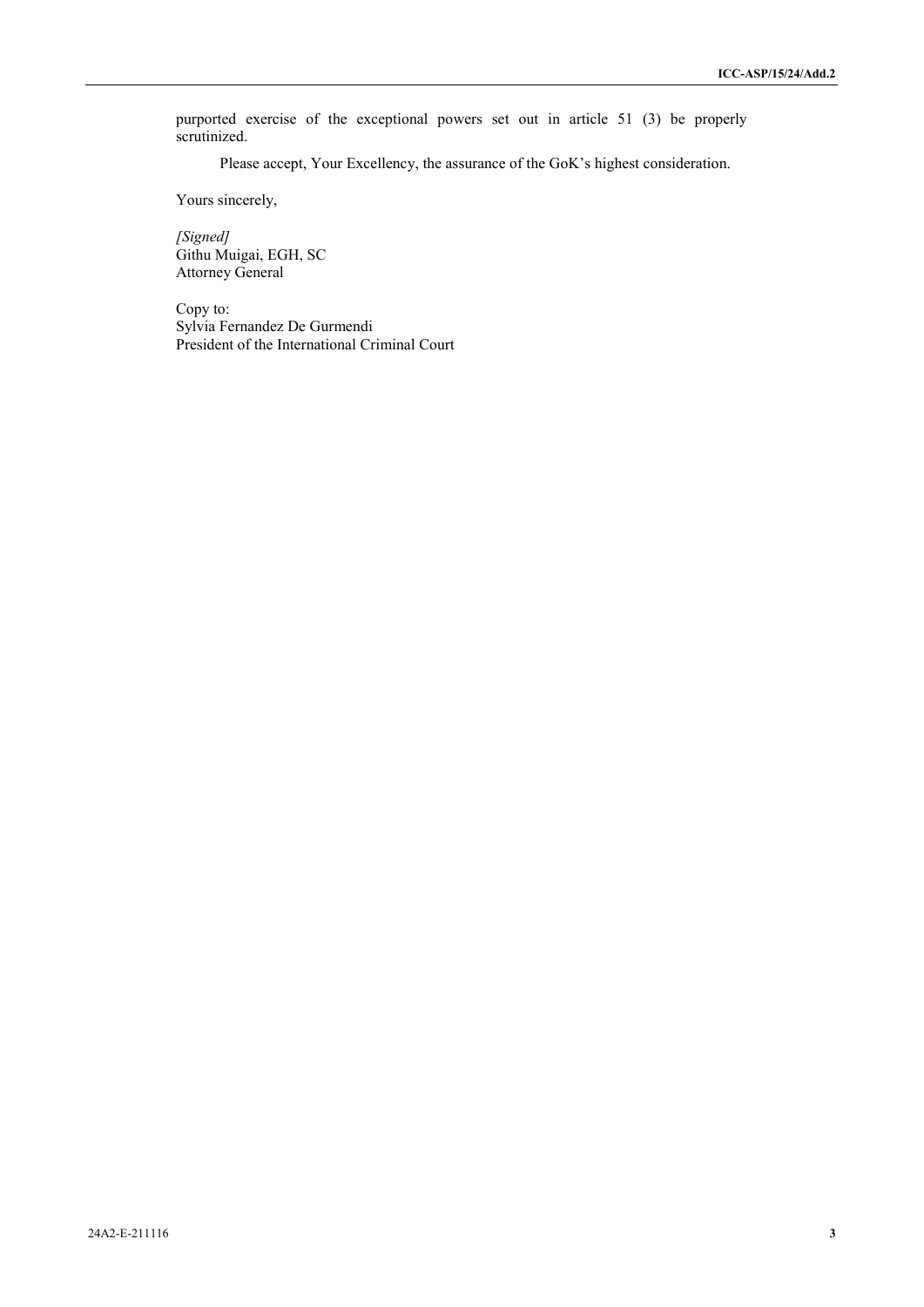purported exercise of the exceptional powers set out in article 51 (3) be properly scrutinized.

Please accept, Your Excellency, the assurance of the GoK's highest consideration.

Yours sincerely,

*[Signed]* Githu Muigai, EGH, SC Attorney General

Copy to: Sylvia Fernandez De Gurmendi President of the International Criminal Court